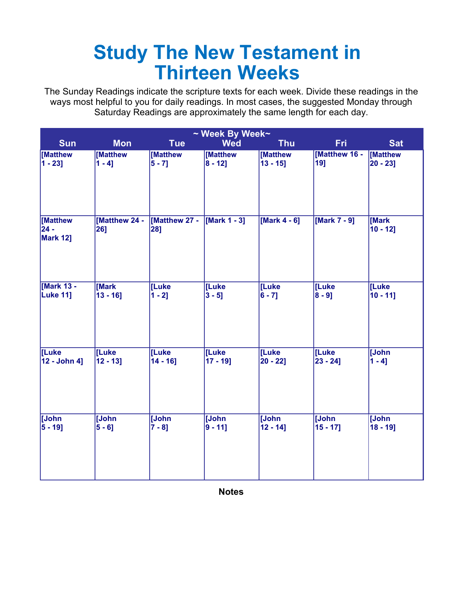## **Study The New Testament in Thirteen Weeks**

The Sunday Readings indicate the scripture texts for each week. Divide these readings in the ways most helpful to you for daily readings. In most cases, the suggested Monday through Saturday Readings are approximately the same length for each day.

| ~ Week By Week~                       |                      |                      |              |                 |               |                      |  |
|---------------------------------------|----------------------|----------------------|--------------|-----------------|---------------|----------------------|--|
| <b>Sun</b>                            | <b>Mon</b>           | <b>Tue</b>           | <b>Wed</b>   | <b>Thu</b>      | <b>Fri</b>    | <b>Sat</b>           |  |
| [Matthew                              | [Matthew             | [Matthew             | [Matthew     | [Matthew        | [Matthew 16 - | [Matthew             |  |
| $1 - 23$ ]                            | $1 - 4$ ]            | $5 - 7$ ]            | $8 - 12$ ]   | $13 - 15$ ]     | 19]           | $ 20 - 23 $          |  |
| [Matthew<br>$24 -$<br><b>Mark 12]</b> | [Matthew 24 -<br>26] | [Matthew 27 -<br>28] | [Mark 1 - 3] | [Mark $4 - 6$ ] | [Mark 7 - 9]  | [Mark<br>$10 - 12$ ] |  |
| [Mark 13 -                            | [Mark                | [Luke                | [Luke        | [Luke           | [Luke         | [Luke                |  |
| <b>Luke 11]</b>                       | $13 - 16$ ]          | $1 - 2$ ]            | $3 - 5$ ]    | $6 - 7]$        | $ 8 - 9]$     | $10 - 11$ ]          |  |
| [Luke                                 | [Luke                | [Luke                | [Luke        | [Luke           | [Luke         | [John                |  |
| 12 - John 4]                          | $12 - 13$ ]          | $14 - 16$ ]          | $17 - 19$ ]  | $20 - 22$       | $23 - 24$ ]   | $1 - 41$             |  |
| [John                                 | <b>John</b>          | [John                | [John        | <b>John</b>     | [John         | [John                |  |
| $5 - 19$ ]                            | $5 - 6]$             | $7 - 81$             | $9 - 11$     | $12 - 14$ ]     | $15 - 17$ ]   | $18 - 19$ ]          |  |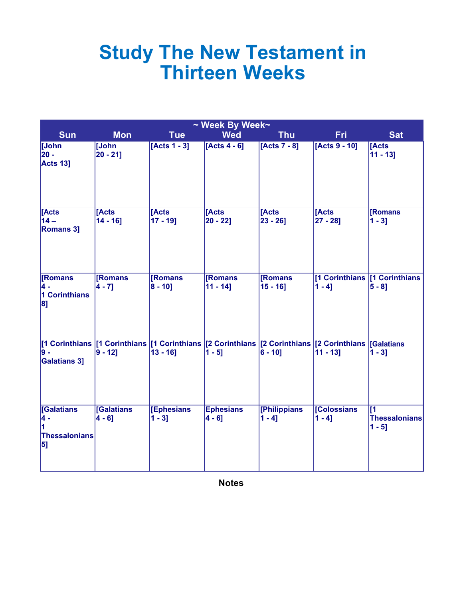## **Study The New Testament in Thirteen Weeks**

| ~ Week By Week~                                            |                               |                                                                                                                                 |                              |                                 |                               |                                                      |  |  |
|------------------------------------------------------------|-------------------------------|---------------------------------------------------------------------------------------------------------------------------------|------------------------------|---------------------------------|-------------------------------|------------------------------------------------------|--|--|
| <b>Sun</b>                                                 | <b>Mon</b>                    | <b>Tue</b>                                                                                                                      | <b>Wed</b>                   | <b>Thu</b>                      | <b>Fri</b>                    | <b>Sat</b>                                           |  |  |
| [John<br>20 -<br><b>Acts 13]</b>                           | [John<br>$20 - 21$            | $[Acts 1 - 3]$                                                                                                                  | $[Acts 4 - 6]$               | [Acts 7 - 8]                    | [Acts 9 - 10]                 | <b>IActs</b><br>$11 - 13$ ]                          |  |  |
| [Acts<br>$14-$<br><b>Romans 3]</b>                         | <b>Acts</b><br>$14 - 16$ ]    | [Acts<br>$17 - 19$ ]                                                                                                            | [Acts<br>$20 - 22$           | <b>TActs</b><br>$23 - 26$ ]     | [Acts<br>$[27 - 28]$          | [Romans<br>$1 - 3$ ]                                 |  |  |
| <b>Romans</b><br>4 -<br>1 Corinthians<br>8]                | <b>[Romans</b><br>$4 - 71$    | <b>[Romans</b><br>$ 8 - 10 $                                                                                                    | [Romans]<br>$11 - 14$ ]      | <b>[Romans]</b><br>$15 - 16$ ]  | $1 - 41$                      | [1 Corinthians   [1 Corinthians<br>$5 - 81$          |  |  |
| 9 -<br><b>Galatians 3]</b>                                 | $ 9 - 12 $                    | [1 Corinthians   [1 Corinthians   [1 Corinthians   [2 Corinthians   [2 Corinthians   [2 Corinthians   [Galatians<br>$13 - 16$ ] | $1 - 51$                     | $6 - 10$ ]                      | $11 - 13$                     | $1 - 3$ ]                                            |  |  |
| <b>Galatians</b><br>4 -<br>1<br><b>Thessalonians</b><br>5] | <b>Galatians</b><br>$4 - 6$ ] | [Ephesians]<br>$1 - 31$                                                                                                         | <b>Ephesians</b><br>$4 - 61$ | <b>[Philippians</b><br>$1 - 41$ | <b>Colossians</b><br>$1 - 41$ | $\overline{11}$<br><b>Thessalonians</b><br>$1 - 5$ ] |  |  |

**Notes**